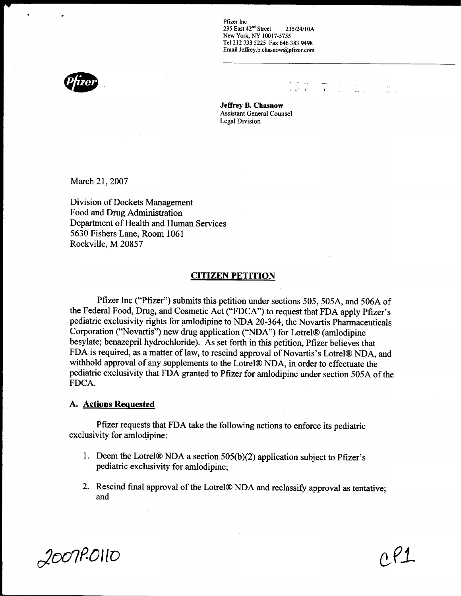Pfizer Inc<br>235 East 42<sup>nd</sup> Street 235 East 42"° Street 235/24/l0A New York, NY 10017-5755 Tel 212 733 5225 Fax 646 383 9498 Email Jeffrey b chasnow@pfizer.com

 $\sqrt{27}$   $\sqrt{6}$   $\sqrt{21}$ 



Jeffrey B. Chasnow Assistant General Counsel Legal Division

March 21, 2007

Division of Dockets Management Food and Drug Administration Department of Health and Human Services 5630 Fishers Lane, Room 1061 Rockville, M 20857

#### CITIZEN PETITION

Pfizer Inc ("Pfizer") submits this petition under sections 505, SOSA, and 506A of the Federal Food, Drug, and Cosmetic Act ("FDCA") to request that FDA apply Pfizer's pediatric exclusivity rights for amlodipine to NDA 20-364, the Novartis Pharmaceuticals Corporation ("Novartis") new drug application ("NDA") for Lotrel® (amlodipine besylate; benazepril hydrochloride). As set forth in this petition, Pfizer believes that FDA is required, as a matter of law, to rescind approval of Novartis's Lotrel® NDA, and withhold approval of any supplements to the Lotrel® NDA, in order to effectuate the pediatric exclusivity that FDA granted to Pfizer for amlodipine under section SOSA of the FDCA.

#### A. Actions Reauested

Pfizer requests that FDA take the following actions to enforce its pediatric exclusivity for amlodipine:

- 1. Deem the Lotrel $\mathbb R$  NDA a section 505(b)(2) application subject to Pfizer's pediatric exclusivity for amlodipine;
- 2. Rescind final approval of the Lotrel® NDA and reclassify approval as tentative; and

 $2007$ P.OIIO  $0.81$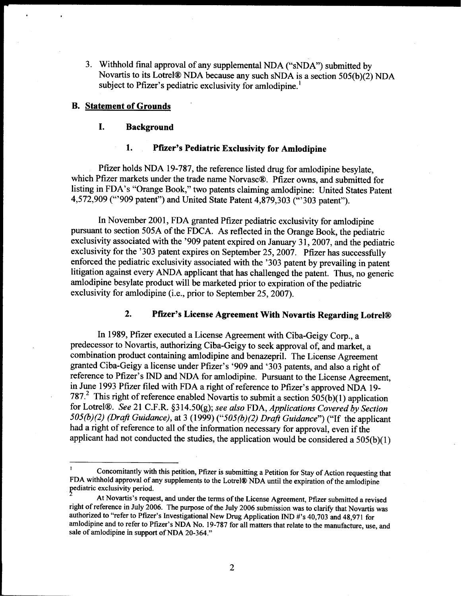<sup>3</sup> . Withhold final approval of any supplemental NDA ("sNDA") submitted by Novartis to its Lotrel® NDA because any such sNDA is a section  $505(b)(2)$  NDA subject to Pfizer's pediatric exclusivity for amlodipine.<sup>1</sup>

### B. Statement of Grounds

## I. Background

## 1. Pfizer's Pediatric Exclusivity for Amlodipine

Pfizer holds NDA 19-787, the reference listed drug for amlodipine besylate, which Pfizer markets under the trade name Norvasc®. Pfizer owns, and submitted for listing in FDA's "Orange Book," two patents claiming amlodipine: United States Patent 4,572,909 ("'909 patent") and United State Patent 4,879,303 ("'303 patent").

In November 2001, FDA granted Pfizer pediatric exclusivity for amlodipine pursuant to section SOSA of the FDCA. As reflected in the Orange Book, the pediatric exclusivity associated with the '909 patent expired on January 31, 2007, and the pediatric exclusivity for the '303 patent expires on September 25, 2007. Pfizer has successfully enforced the pediatric exclusivity associated with the '303 patent by prevailing in patent litigation against every ANDA applicant that has challenged the patent. Thus, no generic amlodipine besylate product will be marketed prior to expiration of the pediatric exclusivity for amlodipine (i.e., prior to September 25, 2007).

## 2. Pfizer's License Agreement With Novartis Regarding Lotrel@

In 1989, Pfizer executed a License Agreement with Ciba-Geigy Corp., a predecessor to Novartis, authorizing Ciba-Geigy to seek approval of, and market, a combination product containing amlodipine and benazepril. The License Agreement granted Ciba-Geigy a license under Pfizer's '909 and '303 patents, and also a right of reference to Pfizer's IND and NDA for amlodipine. Pursuant to the License Agreement, in June 1993 Pfizer filed with FDA a right of reference to Pfizer's approved NDA 19- 787.<sup>2</sup> This right of reference enabled Novartis to submit a section  $505(b)(1)$  application for Lotrel®. See 21 C.F.R. §314.50(g); see also FDA, Applications Covered by Section  $505(b)(2)$  (Draft Guidance), at 3 (1999) (" $505(b)(2)$  Draft Guidance") ("If the applicant had a right of reference to all of the information necessary for approval, even if the applicant had not conducted the studies, the application would be considered a  $505(b)(1)$ 

<sup>&#</sup>x27; Concomitantly with this petition, Pfizer is submitting a Petition for Stay of Action requesting that FDA withhold approval of any supplements to the Lotrel® NDA until the expiration of the amlodipine pediatric exclusivity period.

At Novartis's request, and under the terms of the License Agreement, Pfizer submitted a revised right of reference in July 2006. The purpose of the July 2006 submission was to clarify that Novartis was authorized to "refer to Pfizer's Investigational New Drug Application IND #'s 40,703 and 48,971 for amlodipine and to refer to Pfizer's NDA No. 19-787 for all matters that relate to the manufacture, use, and sale of amlodipine in support of NDA 20-364."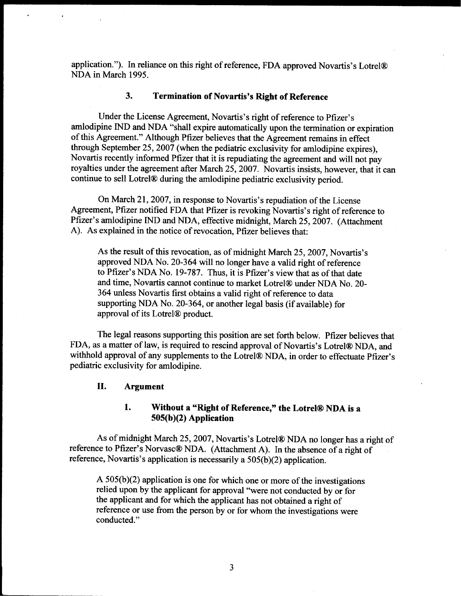application."). In reliance on this right of reference, FDA approved Novartis's Lotrel® NDA in March 1995 .

## 3. Termination of Novartis's Right of Reference

Under the License Agreement, Novartis's right of reference to Pfizer's amlodipine IND and NDA "shall expire automatically upon the termination or expiration of this Agreement." Although Pfizer believes that the Agreement remains in effect through September 25, 2007 (when the pediatric exclusivity for amlodipine expires), Novartis recently informed Pfizer that it is repudiating the agreement and will not pay royalties under the agreement after March 25, 2007. Novartis insists, however, that it can continue to sell Lotrel® during the amlodipine pediatric exclusivity period.

On March 21, 2007, in response to Novartis's repudiation of the License Agreement, Pfizer notified FDA that Pfizer is revoking Novartis's right of reference to Pfizer's amlodipine IND and NDA, effective midnight, March 25, 2007. (Attachment A). As explained in the notice of revocation, Pfizer believes that:

As the result of this revocation, as of midnight March 25, 2007, Novartis's approved NDA No. 20-364 will no longer have a valid right of reference to Pfizer's NDA No. 19-787. Thus, it is Pfizer's view that as of that date and time, Novartis cannot continue to market Lotrel® under NDA No. 20-364 unless Novartis first obtains a valid right of reference to data supporting NDA No. 20-364, or another legal basis (if available) for approval of its Lotrel<sup>®</sup> product.

The legal reasons supporting this position are set forth below. Pfizer believes that FDA, as a matter of law, is required to rescind approval of Novartis's Lotrelg NDA, and withhold approval of any supplements to the Lotrel® NDA, in order to effectuate Pfizer's pediatric exclusivity for amlodipine.

### II. Argument

1. Without a "Right of Reference," the Lotrel® NDA is a 505(b)(2) Application

As of midnight March 25, 2007, Novartis's Lotrel® NDA no longer has a right of reference to Pfizer's Norvasc® NDA. (Attachment A). In the absence of a right of reference, Novartis's application is necessarily a 505(b)(2) application.

A 505(b)(2) application is one for which one or more of the investigations relied upon by the applicant for approval "were not conducted by or for the applicant and for which the applicant has not obtained a right of reference or use from the person by or for whom the investigations were conducted."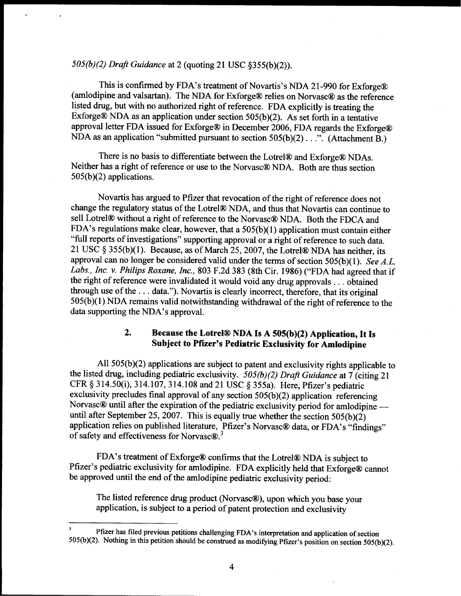# SOS(b)(2) Draft Guidance at 2 (quoting 21 USC §355(b)(2)).

This is confirmed by FDA's treatment of Novartis's NDA 21-990 for Exforge® (amlodipine and valsartan). The NDA for Exforge® relies on Norvasc® as the reference listed drug, but with no authorized right of reference. FDA explicitly is treating the Exforge $\circledR$  NDA as an application under section 505(b)(2). As set forth in a tentative approval letter FDA issued for Exforge® in December 2006, FDA regards the Exforge® NDA as an application "submitted pursuant to section  $505(b)(2) \ldots$ ". (Attachment B.)

There is no basis to differentiate between the Lotrel® and Exforge® NDAs. Neither has a right of reference or use to the Norvasc® NDA. Both are thus section  $505(b)(2)$  applications.

Novartis has argued to Pfizer that revocation of the right of reference does not change the regulatory status of the Lotrel® NDA, and thus that Novartis can continue to sell Lotrel® without a right of reference to the Norvasc® NDA. Both the FDCA and FDA's regulations make clear, however, that a 505(b)(1) application must contain either "full reports of investigations" supporting approval or a right of reference to such data. 21 USC  $\delta$  355(b)(1). Because, as of March 25, 2007, the Lotrel® NDA has neither, its approval can no longer be considered valid under the terms of section  $505(b)(1)$ . See A.L. Labs., Inc. v. Philips Roxane, Inc., 803 F.2d 383 (8th Cir. 1986) ("FDA had agreed that if the right of reference were invalidated it would void any drug approvals . . . obtained through use of the . . . data."). Novartis is clearly incorrect, therefore, that its original 505(b)(1) NDA remains valid notwithstanding withdrawal of the right of reference to the data supporting the NDA's approval.

# 2. Because the Lotrel® NDA Is A 505(b)(2) Application, It Is Subject to Pfizer's Pediatric Exclusivity for Amlodipine

All 505(b)(2) applications are subject to patent and exclusivity rights applicable to the listed drug, including pediatric exclusivity.  $\hat{5}05(b)(2)$  Draft Guidance at 7 (citing 21 CFR § 314.50(i), 314.107, 314.108 and 21 USC § 355a) . Here, Pfizer's pediatric exclusivity precludes final approval of any section 505(b)(2) application referencing Norvasc® until after the expiration of the pediatric exclusivity period for amlodipine until after September 25, 2007. This is equally true whether the section 505(b)(2) application relies on published literature, Pfizer's Norvasc® data, or FDA's "findings" of safety and effectiveness for Norvasc $\Omega$ <sup>3</sup>

FDA's treatment of Exforge® confirms that the Lotrel® NDA is subject to Pfizer's pediatric exclusivity for amlodipine. FDA explicitly held that Exforge® cannot be approved until the end of the amlodipine pediatric exclusivity period:

The listed reference drug product (Norvasc®), upon which you base your application, is subject to a period of patent protection and exclusivity

Pfizer has filed previous petitions challenging FDA's interpretation and application of section 505(b)(2). Nothing in this petition should be construed as modifying Pfizer's position on section 505(b)(2).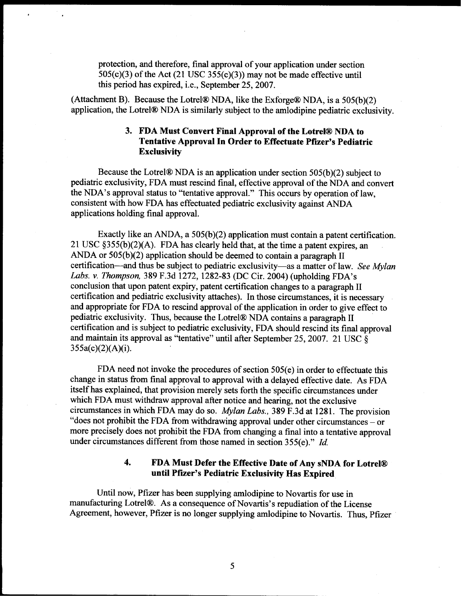protection, and therefore, final approval of your application under section 505(c)(3) of the Act (21 USC 355(c)(3)) may not be made effective until this period has expired, i.e., September 25, 2007.

(Attachment B). Because the Lotrel® NDA, like the Exforge® NDA, is a  $505(b)(2)$ application, the Lotrel® NDA is similarly subject to the amlodipine pediatric exclusivity.

## 3. FDA Must Convert Final Approval of the Lotrel® NDA to Tentative Approval In Order to Effectuate Pfizer's Pediatric **Exclusivity**

Because the Lotrel $\circledR$  NDA is an application under section 505(b)(2) subject to pediatric exclusivity, FDA must rescind final, effective approval of the NDA and convert the NDA's approval status to "tentative approval." This occurs by operation of law, consistent with how FDA has effectuated pediatric exclusivity against ANDA applications holding final approval.

Exactly like an ANDA, a 505(b)(2) application must contain a patent certification. 21 USC §355(b)(2)(A). FDA has clearly held that, at the time a patent expires, an ANDA or  $505(b)(2)$  application should be deemed to contain a paragraph II certification—and thus be subject to pediatric exclusivity—as a matter of law. See Mylan Labs. v. Thompson, 389 F.3d 1272, 1282-83 (DC Cir. 2004) (upholding FDA's conclusion that upon patent expiry, patent certification changes to a paragraph II certification and pediatric exclusivity attaches). In those circumstances, it is necessary and appropriate for FDA to rescind approval of the application in order to give effect to pediatric exclusivity. Thus, because the Lotrelg NDA contains a paragraph II certification and is subject to pediatric exclusivity, FDA should rescind its final approval and maintain its approval as "tentative" until after September 25, 2007. 21 USC  $\overrightarrow{\delta}$  $355a(c)(2)(A)(i)$ .

FDA need not invoke the procedures of section 505(e) in order to effectuate this change in status from final approval to approval with a delayed effective date. As FDA itself has explained, that provision merely sets forth the specific circumstances under which FDA must withdraw approval after notice and hearing, not the exclusive circumstances in which FDA may do so. Mylan Labs., 389 F.3d at 1281 . The provision "does not prohibit the FDA from withdrawing approval under other circumstances - or more precisely does not prohibit the FDA from changing a final into a tentative approval under circumstances different from those named in section 355(e)." Id.

## 4. FDA Must Defer the Effective Date of Any sNDA for Lotrel@ until Pfizer's Pediatric Exclusivity Has Expired

Until now, Pfizer has been supplying amlodipine to Novartis for use in manufacturing Lotrelg. As a consequence of Novartis's repudiation of the License Agreement, however, Pfizer is no longer supplying amlodipine to Novartis. Thus, Pfizer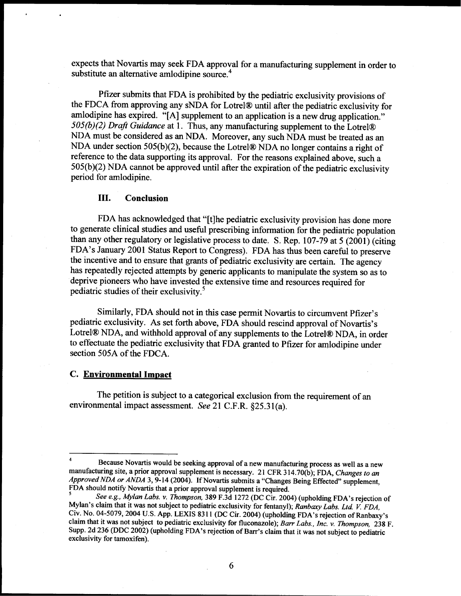expects that Novartis may seek FDA approval for a manufacturing supplement in order to substitute an alternative amlodipine source.<sup>4</sup>

Pfizer submits that FDA is prohibited by the pediatric exclusivity provisions of the FDCA from approving any sNDA for Lotrel® until after the pediatric exclusivity for amlodipine has expired. "[A] supplement to an application is a new drug application."  $505(b)(2)$  Draft Guidance at 1. Thus, any manufacturing supplement to the Lotrel® NDA must be considered as an NDA. Moreover, any such NDA must be treated as an NDA under section 505(b)(2), because the Lotrel $\circledR$  NDA no longer contains a right of reference to the data supporting its approval. For the reasons explained above, such a 505(b)(2) NDA cannot be approved until after the expiration of the pediatric exclusivity period for amlodipine.

#### III. Conclusion

FDA has acknowledged that "[t]he pediatric exclusivity provision has done more to generate clinical studies and useful prescribing information for the pediatric population than any other regulatory or legislative process to date. S. Rep.  $107-79$  at 5 (2001) (citing FDA's January 2001 Status Report to Congress). FDA has thus been careful to preserve the incentive and to ensure that grants of pediatric exclusivity are certain. The agency has repeatedly rejected attempts by generic applicants to manipulate the system so as to deprive pioneers who have invested the extensive time and resources required for pediatric studies of their exclusivity.<sup>5</sup>

Similarly, FDA should not in this case permit Novartis to circumvent Pfizer's pediatric exclusivity. As set forth above, FDA should rescind approval of Novartis's Lotrel® NDA, and withhold approval of any supplements to the Lotrel® NDA, in order to effectuate the pediatric exclusivity that FDA granted to Pfizer for amlodipine under section 505A of the FDCA.

### C. Environmental Impact

The petition is subject to a categorical exclusion from the requirement of an environmental impact assessment. See 21 C.F.R. §25.31(a).

Because Novartis would be seeking approval of a new manufacturing process as well as a new manufacturing site, a prior approval supplement is necessary. 21 CFR 314.70(b); FDA, Changes to an Approved NDA or ANDA 3, 9-14 (2004). If Novartis submits a "Changes Being Effected" supplement, FDA should notify Novartis that a prior approval supplement is required.

See e.g., Mylan Labs. v. Thompson, 389 F.3d 1272 (DC Cir. 2004) (upholding FDA's rejection of Mylan's claim that it was not subject to pediatric exclusivity for fentanyl); Ranbaxy Labs. Ltd. V. FDA, Civ. No. 04-5079, 2004 U.S. App. LEXIS 8311 (DC Cir. 2004) (upholding FDA's rejection of Ranbaxy's claim that it was not subject to pediatric exclusivity for fluconazole); Barr Labs., Inc. v. Thompson, 238 F. Supp. 2d 236 (DDC 2002) (upholding FDA's rejection of Barr's claim that it was not subject to pediatric exclusivity for tamoxifen).